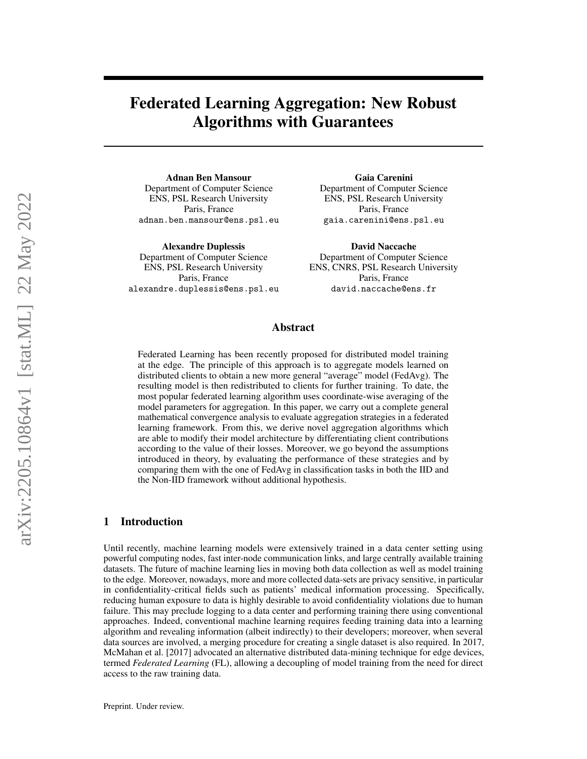# Federated Learning Aggregation: New Robust Algorithms with Guarantees

Adnan Ben Mansour Department of Computer Science ENS, PSL Research University Paris, France adnan.ben.mansour@ens.psl.eu

Alexandre Duplessis Department of Computer Science ENS, PSL Research University Paris, France alexandre.duplessis@ens.psl.eu

Gaia Carenini Department of Computer Science ENS, PSL Research University Paris, France gaia.carenini@ens.psl.eu

David Naccache Department of Computer Science ENS, CNRS, PSL Research University Paris, France david.naccache@ens.fr

# Abstract

Federated Learning has been recently proposed for distributed model training at the edge. The principle of this approach is to aggregate models learned on distributed clients to obtain a new more general "average" model (FedAvg). The resulting model is then redistributed to clients for further training. To date, the most popular federated learning algorithm uses coordinate-wise averaging of the model parameters for aggregation. In this paper, we carry out a complete general mathematical convergence analysis to evaluate aggregation strategies in a federated learning framework. From this, we derive novel aggregation algorithms which are able to modify their model architecture by differentiating client contributions according to the value of their losses. Moreover, we go beyond the assumptions introduced in theory, by evaluating the performance of these strategies and by comparing them with the one of FedAvg in classification tasks in both the IID and the Non-IID framework without additional hypothesis.

# 1 Introduction

Until recently, machine learning models were extensively trained in a data center setting using powerful computing nodes, fast inter-node communication links, and large centrally available training datasets. The future of machine learning lies in moving both data collection as well as model training to the edge. Moreover, nowadays, more and more collected data-sets are privacy sensitive, in particular in confidentiality-critical fields such as patients' medical information processing. Specifically, reducing human exposure to data is highly desirable to avoid confidentiality violations due to human failure. This may preclude logging to a data center and performing training there using conventional approaches. Indeed, conventional machine learning requires feeding training data into a learning algorithm and revealing information (albeit indirectly) to their developers; moreover, when several data sources are involved, a merging procedure for creating a single dataset is also required. In 2017, [McMahan et al.](#page-9-0) [\[2017\]](#page-9-0) advocated an alternative distributed data-mining technique for edge devices, termed *Federated Learning* (FL), allowing a decoupling of model training from the need for direct access to the raw training data.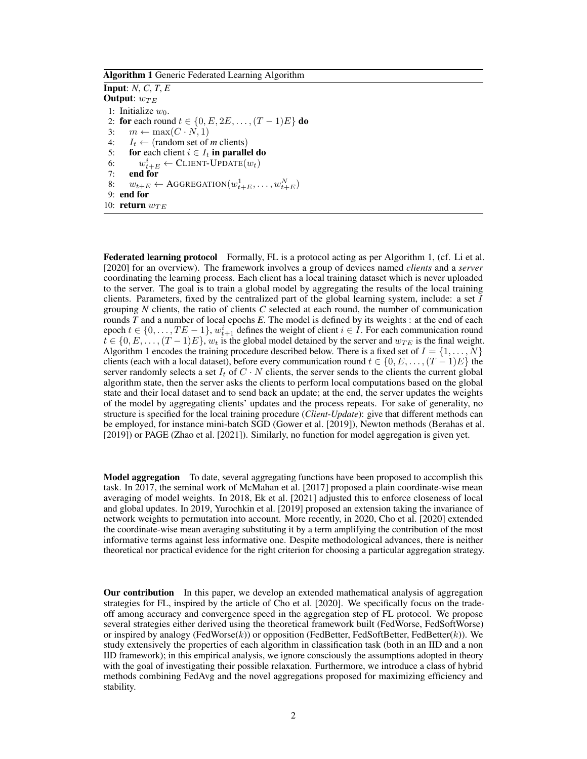<span id="page-1-0"></span>Algorithm 1 Generic Federated Learning Algorithm

Input: *N*, *C*, *T*, *E* Output:  $w_{TE}$ 1: Initialize  $w_0$ . 2: for each round  $t \in \{0, E, 2E, \ldots, (T-1)E\}$  do 3:  $m \leftarrow \max(C \cdot N, 1)$ 4:  $I_t \leftarrow$  (random set of *m* clients)<br>5: **for** each client  $i \in I_t$  **in parallel** for each client  $i \in I_t$  in parallel do 6:  $w_{t+E}^i \leftarrow \text{CLIENT-UPDATE}(w_t)$ 7: end for 8:  $w_{t+E} \leftarrow \text{AGGREGATION}(w_{t+E}^1, \dots, w_{t+E}^N)$ 9: end for 10: return  $w_{TE}$ 

Federated learning protocol Formally, FL is a protocol acting as per Algorithm [1,](#page-1-0) (cf. [Li et al.](#page-9-1) [\[2020\]](#page-9-1) for an overview). The framework involves a group of devices named *clients* and a *server* coordinating the learning process. Each client has a local training dataset which is never uploaded to the server. The goal is to train a global model by aggregating the results of the local training clients. Parameters, fixed by the centralized part of the global learning system, include: a set  $I$ grouping *N* clients, the ratio of clients *C* selected at each round, the number of communication rounds *T* and a number of local epochs *E*. The model is defined by its weights : at the end of each epoch  $t \in \{0, \ldots, TE-1\}$ ,  $w_{t+1}^i$  defines the weight of client  $i \in I$ . For each communication round  $t \in \{0, E, \ldots, (T-1)E\}$ ,  $w_t$  is the global model detained by the server and  $w_{TE}$  is the final weight. Algorithm [1](#page-1-0) encodes the training procedure described below. There is a fixed set of  $I = \{1, \ldots, N\}$ clients (each with a local dataset), before every communication round  $t \in \{0, E, \ldots, (T-1)E\}$  the server randomly selects a set  $I_t$  of  $C \cdot N$  clients, the server sends to the clients the current global algorithm state, then the server asks the clients to perform local computations based on the global state and their local dataset and to send back an update; at the end, the server updates the weights of the model by aggregating clients' updates and the process repeats. For sake of generality, no structure is specified for the local training procedure (*Client-Update*): give that different methods can be employed, for instance mini-batch SGD [\(Gower et al.](#page-9-2) [\[2019\]](#page-9-2)), Newton methods [\(Berahas et al.](#page-9-3) [\[2019\]](#page-9-3)) or PAGE [\(Zhao et al.](#page-9-4) [\[2021\]](#page-9-4)). Similarly, no function for model aggregation is given yet.

**Model aggregation** To date, several aggregating functions have been proposed to accomplish this task. In 2017, the seminal work of [McMahan et al.](#page-9-0) [\[2017\]](#page-9-0) proposed a plain coordinate-wise mean averaging of model weights. In 2018, [Ek et al.](#page-9-5) [\[2021\]](#page-9-5) adjusted this to enforce closeness of local and global updates. In 2019, [Yurochkin et al.](#page-9-6) [\[2019\]](#page-9-6) proposed an extension taking the invariance of network weights to permutation into account. More recently, in 2020, [Cho et al.](#page-9-7) [\[2020\]](#page-9-7) extended the coordinate-wise mean averaging substituting it by a term amplifying the contribution of the most informative terms against less informative one. Despite methodological advances, there is neither theoretical nor practical evidence for the right criterion for choosing a particular aggregation strategy.

Our contribution In this paper, we develop an extended mathematical analysis of aggregation strategies for FL, inspired by the article of [Cho et al.](#page-9-7) [\[2020\]](#page-9-7). We specifically focus on the tradeoff among accuracy and convergence speed in the aggregation step of FL protocol. We propose several strategies either derived using the theoretical framework built (FedWorse, FedSoftWorse) or inspired by analogy (FedWorse $(k)$ ) or opposition (FedBetter, FedSoftBetter, FedBetter $(k)$ ). We study extensively the properties of each algorithm in classification task (both in an IID and a non IID framework); in this empirical analysis, we ignore consciously the assumptions adopted in theory with the goal of investigating their possible relaxation. Furthermore, we introduce a class of hybrid methods combining FedAvg and the novel aggregations proposed for maximizing efficiency and stability.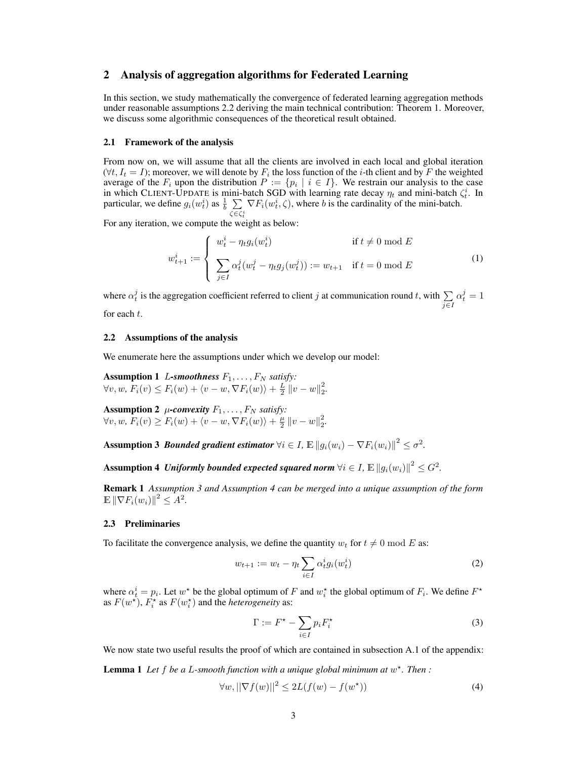# 2 Analysis of aggregation algorithms for Federated Learning

In this section, we study mathematically the convergence of federated learning aggregation methods under reasonable assumptions [2.2](#page-2-0) deriving the main technical contribution: Theorem [1.](#page-3-0) Moreover, we discuss some algorithmic consequences of the theoretical result obtained.

#### <span id="page-2-3"></span>2.1 Framework of the analysis

From now on, we will assume that all the clients are involved in each local and global iteration  $(\forall t, I_t = I)$ ; moreover, we will denote by  $F_i$  the loss function of the *i*-th client and by F the weighted average of the  $F_i$  upon the distribution  $P := \{p_i \mid i \in I\}$ . We restrain our analysis to the case in which CLIENT-UPDATE is mini-batch SGD with learning rate decay  $\eta_t$  and mini-batch  $\zeta_t^i$ . In particular, we define  $g_i(w_t^i)$  as  $\frac{1}{b} \sum \nabla F_i(w_t^i, \zeta)$ , where b is the cardinality of the mini-batch.  $\zeta \in \zeta_t^i$ 

For any iteration, we compute the weight as below:

<span id="page-2-6"></span>
$$
w_{t+1}^{i} := \begin{cases} w_t^{i} - \eta_t g_i(w_t^{i}) & \text{if } t \neq 0 \text{ mod } E \\ \sum_{j \in I} \alpha_t^{j} (w_t^{j} - \eta_t g_j(w_t^{j})) := w_{t+1} & \text{if } t = 0 \text{ mod } E \end{cases}
$$
(1)

where  $\alpha_t^j$  is the aggregation coefficient referred to client  $j$  at communication round  $t$ , with  $\sum$ j∈I  $\alpha_t^j=1$ 

for each  $t$ .

### <span id="page-2-0"></span>2.2 Assumptions of the analysis

We enumerate here the assumptions under which we develop our model:

**Assumption 1** L-smoothness  $F_1, \ldots, F_N$  satisfy:  $\forall v, w, F_i(v) \le F_i(w) + \langle v - w, \nabla F_i(w) \rangle + \frac{L}{2} ||v - w||_2^2.$ 

<span id="page-2-7"></span>Assumption 2  $\mu$ -convexity  $F_1, \ldots, F_N$  satisfy:  $\forall v, w, F_i(v) \ge F_i(w) + \langle v - w, \nabla F_i(w) \rangle + \frac{\mu}{2} ||v - w||_2^2.$ 

<span id="page-2-1"></span>Assumption 3 *Bounded gradient estimator*  $\forall i \in I$ *,*  $\mathbb{E}\left\|g_i(w_i) - \nabla F_i(w_i)\right\|^2 \leq \sigma^2$ *.* 

<span id="page-2-2"></span>Assumption 4 *Uniformly bounded expected squared norm*  $\forall i \in I$ ,  $\mathbb{E}\left\|g_i(w_i)\right\|^2 \leq G^2$ .

Remark 1 *Assumption [3](#page-2-1) and Assumption [4](#page-2-2) can be merged into a unique assumption of the form*  $\mathbb{E} \left\| \nabla F_i(w_i) \right\|^2 \leq A^2.$ 

#### 2.3 Preliminaries

To facilitate the convergence analysis, we define the quantity  $w_t$  for  $t \neq 0 \mod E$  as:

$$
w_{t+1} := w_t - \eta_t \sum_{i \in I} \alpha_t^i g_i(w_t^i)
$$
 (2)

where  $\alpha_t^i = p_i$ . Let  $w^*$  be the global optimum of F and  $w_t^*$  the global optimum of  $F_i$ . We define  $F^*$ as  $F(w^*)$ ,  $F_i^*$  as  $F(w_i^*)$  and the *heterogeneity* as:

<span id="page-2-4"></span>
$$
\Gamma := F^* - \sum_{i \in I} p_i F_i^* \tag{3}
$$

We now state two useful results the proof of which are contained in subsection [A.1](#page-11-0) of the appendix:

<span id="page-2-5"></span>Lemma 1 *Let* f *be a* L*-smooth function with a unique global minimum at* w ? *. Then :*

$$
\forall w, ||\nabla f(w)||^2 \le 2L(f(w) - f(w^\star))\tag{4}
$$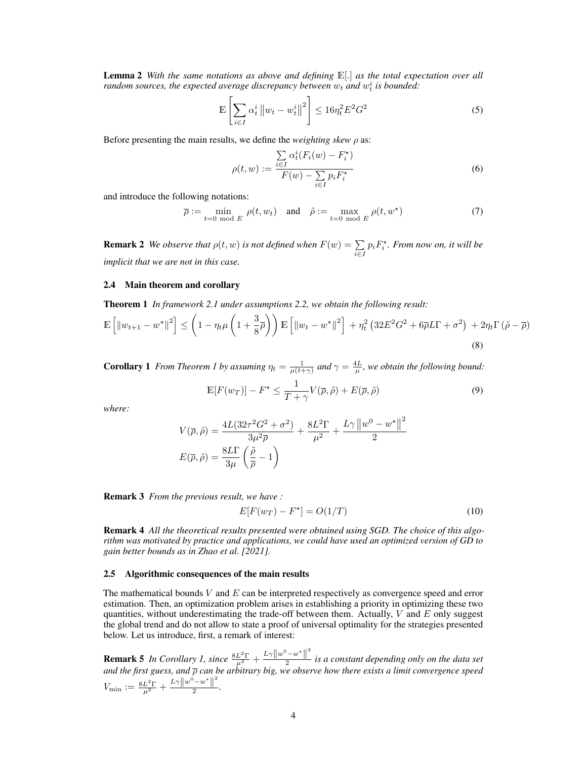Lemma 2 *With the same notations as above and defining* E[.] *as the total expectation over all* random sources, the expected average discrepancy between  $w_t$  and  $w_t^i$  is bounded:

$$
\mathbb{E}\left[\sum_{i\in I} \alpha_t^i \left\|w_t - w_t^i\right\|^2\right] \le 16\eta_t^2 E^2 G^2\tag{5}
$$

Before presenting the main results, we define the *weighting skew*  $\rho$  as:

$$
\rho(t, w) := \frac{\sum_{i \in I} \alpha_t^i (F_i(w) - F_i^*)}{F(w) - \sum_{i \in I} p_i F_i^*}
$$
\n(6)

and introduce the following notations:

$$
\overline{\rho} := \min_{t=0 \text{ mod } E} \rho(t, w_t) \quad \text{and} \quad \tilde{\rho} := \max_{t=0 \text{ mod } E} \rho(t, w^*)
$$
(7)

**Remark 2** *We observe that*  $\rho(t, w)$  *is not defined when*  $F(w) = \sum$  $\sum_{i\in I} p_i F_i^{\star}$ . From now on, it will be *implicit that we are not in this case.*

#### 2.4 Main theorem and corollary

<span id="page-3-0"></span>Theorem 1 *In framework [2.1](#page-2-3) under assumptions [2.2,](#page-2-0) we obtain the following result:*

$$
\mathbb{E}\left[\left\|w_{t+1}-w^{\star}\right\|^2\right] \leq \left(1-\eta_t\mu\left(1+\frac{3}{8}\overline{\rho}\right)\right)\mathbb{E}\left[\left\|w_t-w^{\star}\right\|^2\right] + \eta_t^2\left(32E^2G^2 + 6\overline{\rho}L\Gamma + \sigma^2\right) + 2\eta_t\Gamma\left(\tilde{\rho} - \overline{\rho}\right)
$$
\n(8)

<span id="page-3-1"></span>**Corollary [1](#page-3-0)** *From Theorem 1 by assuming*  $\eta_t = \frac{1}{\mu(t+\gamma)}$  *and*  $\gamma = \frac{4L}{\mu}$ *, we obtain the following bound:* 

$$
\mathbb{E}[F(w_T)] - F^* \le \frac{1}{T + \gamma} V(\overline{\rho}, \tilde{\rho}) + E(\overline{\rho}, \tilde{\rho})
$$
\n(9)

*where:*

$$
V(\overline{\rho}, \tilde{\rho}) = \frac{4L(32\tau^2 G^2 + \sigma^2)}{3\mu^2 \overline{\rho}} + \frac{8L^2 \Gamma}{\mu^2} + \frac{L\gamma \left\|w^0 - w^*\right\|^2}{2}
$$

$$
E(\overline{\rho}, \tilde{\rho}) = \frac{8L\Gamma}{3\mu} \left(\frac{\tilde{\rho}}{\overline{\rho}} - 1\right)
$$

Remark 3 *From the previous result, we have :*

$$
E[F(w_T) - F^*] = O(1/T)
$$
\n(10)

Remark 4 *All the theoretical results presented were obtained using SGD. The choice of this algorithm was motivated by practice and applications, we could have used an optimized version of GD to gain better bounds as in [Zhao et al.](#page-9-4) [\[2021\]](#page-9-4).*

#### 2.5 Algorithmic consequences of the main results

The mathematical bounds  $V$  and  $E$  can be interpreted respectively as convergence speed and error estimation. Then, an optimization problem arises in establishing a priority in optimizing these two quantities, without underestimating the trade-off between them. Actually,  $V$  and  $E$  only suggest the global trend and do not allow to state a proof of universal optimality for the strategies presented below. Let us introduce, first, a remark of interest:

**Remark 5** *In Corollary [1,](#page-3-1) since*  $\frac{8L^2\Gamma}{\mu^2} + \frac{L\gamma||w^0 - w^*||^2}{2}$ 2 *is a constant depending only on the data set and the first guess, and*  $\overline{\rho}$  *can be arbitrary big, we observe how there exists a limit convergence speed*  $V_{\rm min}:=\frac{8L^2\Gamma}{\mu^2}+\frac{L\gamma\left\|w^0-w^\star\right\|^2}{2}$  $\frac{w}{2}$ .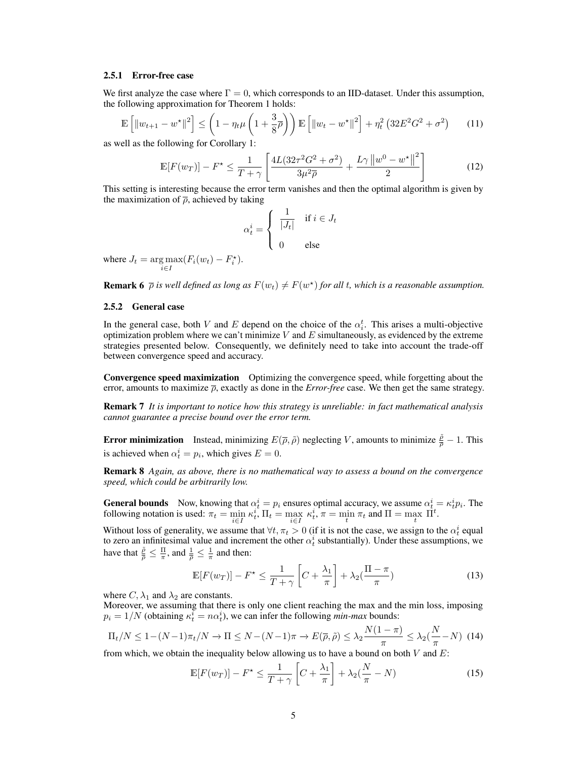#### 2.5.1 Error-free case

We first analyze the case where  $\Gamma = 0$ , which corresponds to an IID-dataset. Under this assumption, the following approximation for Theorem [1](#page-3-0) holds:

$$
\mathbb{E}\left[\left\|w_{t+1} - w^{\star}\right\|^2\right] \le \left(1 - \eta_t \mu \left(1 + \frac{3}{8}\overline{\rho}\right)\right) \mathbb{E}\left[\left\|w_t - w^{\star}\right\|^2\right] + \eta_t^2 \left(32E^2 G^2 + \sigma^2\right) \tag{11}
$$

as well as the following for Corollary [1:](#page-3-1)

$$
\mathbb{E}[F(w_T)] - F^* \le \frac{1}{T + \gamma} \left[ \frac{4L(32\tau^2 G^2 + \sigma^2)}{3\mu^2 \overline{\rho}} + \frac{L\gamma \left\|w^0 - w^*\right\|^2}{2} \right] \tag{12}
$$

This setting is interesting because the error term vanishes and then the optimal algorithm is given by the maximization of  $\bar{\rho}$ , achieved by taking

$$
\alpha_t^i = \begin{cases} \frac{1}{|J_t|} & \text{if } i \in J_t \\ 0 & \text{else} \end{cases}
$$

where  $J_t = \arg \max_{i \in I} (F_i(w_t) - F_i^*).$ 

**Remark 6**  $\bar{\rho}$  *is well defined as long as*  $F(w_t) \neq F(w^*)$  *for all t, which is a reasonable assumption.* 

### 2.5.2 General case

In the general case, both V and E depend on the choice of the  $\alpha_i^t$ . This arises a multi-objective optimization problem where we can't minimize  $V$  and  $E$  simultaneously, as evidenced by the extreme strategies presented below. Consequently, we definitely need to take into account the trade-off between convergence speed and accuracy.

Convergence speed maximization Optimizing the convergence speed, while forgetting about the error, amounts to maximize  $\bar{\rho}$ , exactly as done in the *Error-free* case. We then get the same strategy.

Remark 7 *It is important to notice how this strategy is unreliable: in fact mathematical analysis cannot guarantee a precise bound over the error term.*

**Error minimization** Instead, minimizing  $E(\overline{\rho}, \tilde{\rho})$  neglecting V, amounts to minimize  $\frac{\tilde{\rho}}{\rho} - 1$ . This is achieved when  $\alpha_t^i = p_i$ , which gives  $E = 0$ .

Remark 8 *Again, as above, there is no mathematical way to assess a bound on the convergence speed, which could be arbitrarily low.*

**General bounds** Now, knowing that  $\alpha_t^i = p_i$  ensures optimal accuracy, we assume  $\alpha_t^i = \kappa_t^i p_i$ . The following notation is used:  $\pi_t = \min_{i \in I} \kappa_t^i$ ,  $\Pi_t = \max_{i \in I} \kappa_t^i$ ,  $\pi = \min_t \pi_t$  and  $\Pi = \max_t \Pi_t^t$ .

Without loss of generality, we assume that  $\forall t, \pi_t > 0$  (if it is not the case, we assign to the  $\alpha_t^i$  equal to zero an infinitesimal value and increment the other  $\alpha_t^i$  substantially). Under these assumptions, we have that  $\frac{\tilde{\rho}}{\rho} \leq \frac{\Pi}{\pi}$ , and  $\frac{1}{\rho} \leq \frac{1}{\pi}$  and then:

$$
\mathbb{E}[F(w_T)] - F^* \le \frac{1}{T + \gamma} \left[ C + \frac{\lambda_1}{\pi} \right] + \lambda_2 (\frac{\Pi - \pi}{\pi}) \tag{13}
$$

where  $C, \lambda_1$  and  $\lambda_2$  are constants.

Moreover, we assuming that there is only one client reaching the max and the min loss, imposing  $p_i = 1/N$  (obtaining  $\kappa_t^i = n\alpha_t^i$ ), we can infer the following *min-max* bounds:

$$
\Pi_t/N \le 1 - (N-1)\pi_t/N \to \Pi \le N - (N-1)\pi \to E(\overline{\rho}, \tilde{\rho}) \le \lambda_2 \frac{N(1-\pi)}{\pi} \le \lambda_2 \left(\frac{N}{\pi} - N\right) (14)
$$

from which, we obtain the inequality below allowing us to have a bound on both  $V$  and  $E$ :

$$
\mathbb{E}[F(w_T)] - F^* \le \frac{1}{T + \gamma} \left[ C + \frac{\lambda_1}{\pi} \right] + \lambda_2 (\frac{N}{\pi} - N) \tag{15}
$$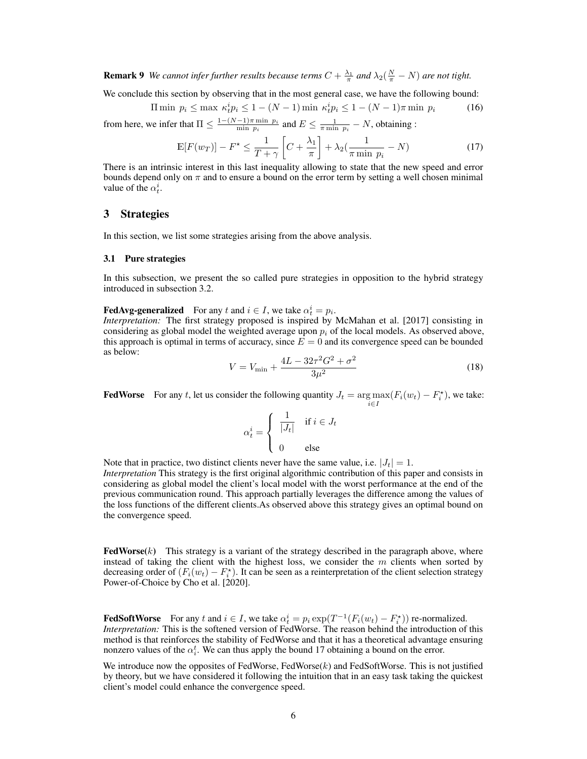**Remark 9** We cannot infer further results because terms  $C + \frac{\lambda_1}{\pi}$  and  $\lambda_2(\frac{N}{\pi} - N)$  are not tight.

We conclude this section by observing that in the most general case, we have the following bound:

$$
\Pi \min \ p_i \le \max \ k_t^i p_i \le 1 - (N - 1) \min \ k_t^i p_i \le 1 - (N - 1)\pi \min \ p_i \tag{16}
$$

from here, we infer that  $\Pi \leq \frac{1-(N-1)\pi \min p_i}{\min p_i}$  $\frac{-1}{m \min p_i} \frac{p_i}{p_i}$  and  $E \le \frac{1}{\pi \min p_i} - N$ , obtaining :

<span id="page-5-0"></span>
$$
\mathbb{E}[F(w_T)] - F^* \le \frac{1}{T + \gamma} \left[ C + \frac{\lambda_1}{\pi} \right] + \lambda_2 \left( \frac{1}{\pi \min p_i} - N \right) \tag{17}
$$

There is an intrinsic interest in this last inequality allowing to state that the new speed and error bounds depend only on  $\pi$  and to ensure a bound on the error term by setting a well chosen minimal value of the  $\alpha_t^i$ .

### <span id="page-5-1"></span>3 Strategies

In this section, we list some strategies arising from the above analysis.

#### <span id="page-5-2"></span>3.1 Pure strategies

In this subsection, we present the so called pure strategies in opposition to the hybrid strategy introduced in subsection [3.2.](#page-6-0)

# **FedAvg-generalized** For any t and  $i \in I$ , we take  $\alpha_t^i = p_i$ .

*Interpretation:* The first strategy proposed is inspired by [McMahan et al.](#page-9-0) [\[2017\]](#page-9-0) consisting in considering as global model the weighted average upon  $p_i$  of the local models. As observed above, this approach is optimal in terms of accuracy, since  $E = 0$  and its convergence speed can be bounded as below:

$$
V = V_{\text{min}} + \frac{4L - 32\tau^2 G^2 + \sigma^2}{3\mu^2} \tag{18}
$$

**FedWorse** For any t, let us consider the following quantity  $J_t = \argmax_{i \in I} (F_i(w_t) - F_i^*)$ , we take:

$$
\alpha_t^i = \begin{cases} \n\frac{1}{|J_t|} & \text{if } i \in J_t \\ \n0 & \text{else} \n\end{cases}
$$

Note that in practice, two distinct clients never have the same value, i.e.  $|J_t| = 1$ . *Interpretation* This strategy is the first original algorithmic contribution of this paper and consists in considering as global model the client's local model with the worst performance at the end of the previous communication round. This approach partially leverages the difference among the values of the loss functions of the different clients.As observed above this strategy gives an optimal bound on the convergence speed.

**FedWorse** $(k)$  This strategy is a variant of the strategy described in the paragraph above, where instead of taking the client with the highest loss, we consider the  $m$  clients when sorted by decreasing order of  $(F_i(w_t) - F_i^*)$ . It can be seen as a reinterpretation of the client selection strategy Power-of-Choice by [Cho et al.](#page-9-7) [\[2020\]](#page-9-7).

**FedSoftWorse** For any t and  $i \in I$ , we take  $\alpha_t^i = p_i \exp(T^{-1}(F_i(w_t) - F_i^*))$  re-normalized. *Interpretation:* This is the softened version of FedWorse. The reason behind the introduction of this method is that reinforces the stability of FedWorse and that it has a theoretical advantage ensuring nonzero values of the  $\alpha_i^t$ . We can thus apply the bound [17](#page-5-0) obtaining a bound on the error.

We introduce now the opposites of FedWorse, FedWorse $(k)$  and FedSoftWorse. This is not justified by theory, but we have considered it following the intuition that in an easy task taking the quickest client's model could enhance the convergence speed.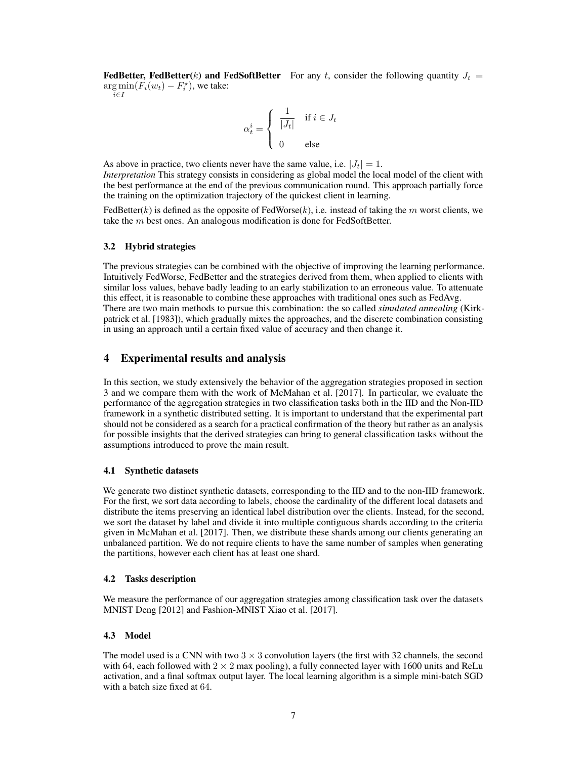**FedBetter, FedBetter**(k) and FedSoftBetter For any t, consider the following quantity  $J_t =$  $\arg \min(F_i(w_t) - F_i^*)$ , we take:

 $i \in I$ 

$$
\alpha_t^i = \begin{cases} \n\frac{1}{|J_t|} & \text{if } i \in J_t \\ \n0 & \text{else} \n\end{cases}
$$

As above in practice, two clients never have the same value, i.e.  $|J_t| = 1$ . *Interpretation* This strategy consists in considering as global model the local model of the client with the best performance at the end of the previous communication round. This approach partially force the training on the optimization trajectory of the quickest client in learning.

FedBetter(k) is defined as the opposite of FedWorse(k), i.e. instead of taking the m worst clients, we take the  $m$  best ones. An analogous modification is done for FedSoftBetter.

#### <span id="page-6-0"></span>3.2 Hybrid strategies

The previous strategies can be combined with the objective of improving the learning performance. Intuitively FedWorse, FedBetter and the strategies derived from them, when applied to clients with similar loss values, behave badly leading to an early stabilization to an erroneous value. To attenuate this effect, it is reasonable to combine these approaches with traditional ones such as FedAvg. There are two main methods to pursue this combination: the so called *simulated annealing* [\(Kirk](#page-9-8)[patrick et al.](#page-9-8) [\[1983\]](#page-9-8)), which gradually mixes the approaches, and the discrete combination consisting in using an approach until a certain fixed value of accuracy and then change it.

## 4 Experimental results and analysis

In this section, we study extensively the behavior of the aggregation strategies proposed in section [3](#page-5-1) and we compare them with the work of [McMahan et al.](#page-9-0) [\[2017\]](#page-9-0). In particular, we evaluate the performance of the aggregation strategies in two classification tasks both in the IID and the Non-IID framework in a synthetic distributed setting. It is important to understand that the experimental part should not be considered as a search for a practical confirmation of the theory but rather as an analysis for possible insights that the derived strategies can bring to general classification tasks without the assumptions introduced to prove the main result.

#### 4.1 Synthetic datasets

We generate two distinct synthetic datasets, corresponding to the IID and to the non-IID framework. For the first, we sort data according to labels, choose the cardinality of the different local datasets and distribute the items preserving an identical label distribution over the clients. Instead, for the second, we sort the dataset by label and divide it into multiple contiguous shards according to the criteria given in [McMahan et al.](#page-9-0) [\[2017\]](#page-9-0). Then, we distribute these shards among our clients generating an unbalanced partition. We do not require clients to have the same number of samples when generating the partitions, however each client has at least one shard.

#### 4.2 Tasks description

We measure the performance of our aggregation strategies among classification task over the datasets MNIST [Deng](#page-9-9) [\[2012\]](#page-9-9) and Fashion-MNIST [Xiao et al.](#page-9-10) [\[2017\]](#page-9-10).

### 4.3 Model

The model used is a CNN with two  $3 \times 3$  convolution layers (the first with 32 channels, the second with 64, each followed with  $2 \times 2$  max pooling), a fully connected layer with 1600 units and ReLu activation, and a final softmax output layer. The local learning algorithm is a simple mini-batch SGD with a batch size fixed at 64.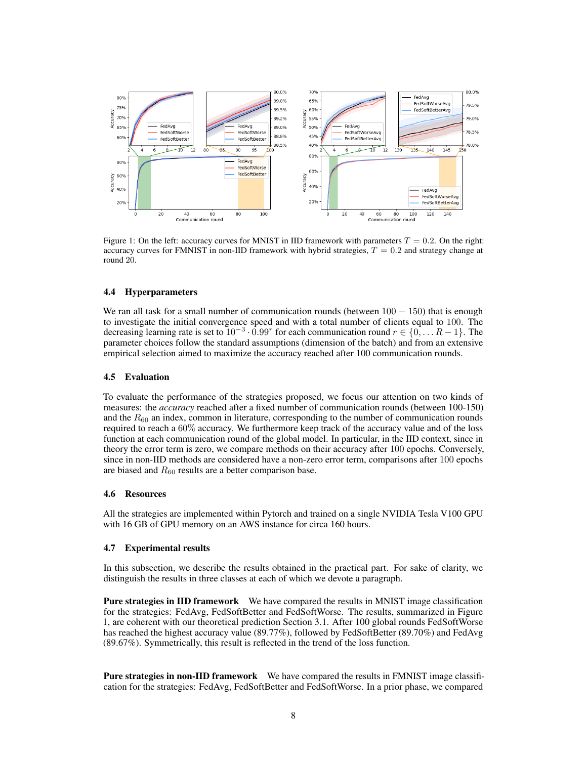

Figure 1: On the left: accuracy curves for MNIST in IID framework with parameters  $T = 0.2$ . On the right: accuracy curves for FMNIST in non-IID framework with hybrid strategies,  $T = 0.2$  and strategy change at round 20.

### 4.4 Hyperparameters

We ran all task for a small number of communication rounds (between  $100 - 150$ ) that is enough to investigate the initial convergence speed and with a total number of clients equal to 100. The decreasing learning rate is set to  $10^{-3} \cdot 0.99^r$  for each communication round  $r \in \{0, \dots R-1\}$ . The parameter choices follow the standard assumptions (dimension of the batch) and from an extensive empirical selection aimed to maximize the accuracy reached after 100 communication rounds.

#### 4.5 Evaluation

To evaluate the performance of the strategies proposed, we focus our attention on two kinds of measures: the *accuracy* reached after a fixed number of communication rounds (between 100-150) and the  $R_{60}$  an index, common in literature, corresponding to the number of communication rounds required to reach a 60% accuracy. We furthermore keep track of the accuracy value and of the loss function at each communication round of the global model. In particular, in the IID context, since in theory the error term is zero, we compare methods on their accuracy after 100 epochs. Conversely, since in non-IID methods are considered have a non-zero error term, comparisons after 100 epochs are biased and  $R_{60}$  results are a better comparison base.

#### 4.6 Resources

All the strategies are implemented within Pytorch and trained on a single NVIDIA Tesla V100 GPU with 16 GB of GPU memory on an AWS instance for circa 160 hours.

#### <span id="page-7-0"></span>4.7 Experimental results

In this subsection, we describe the results obtained in the practical part. For sake of clarity, we distinguish the results in three classes at each of which we devote a paragraph.

Pure strategies in IID framework We have compared the results in MNIST image classification for the strategies: FedAvg, FedSoftBetter and FedSoftWorse. The results, summarized in Figure 1, are coherent with our theoretical prediction Section [3.1.](#page-5-2) After 100 global rounds FedSoftWorse has reached the highest accuracy value (89.77%), followed by FedSoftBetter (89.70%) and FedAvg (89.67%). Symmetrically, this result is reflected in the trend of the loss function.

Pure strategies in non-IID framework We have compared the results in FMNIST image classification for the strategies: FedAvg, FedSoftBetter and FedSoftWorse. In a prior phase, we compared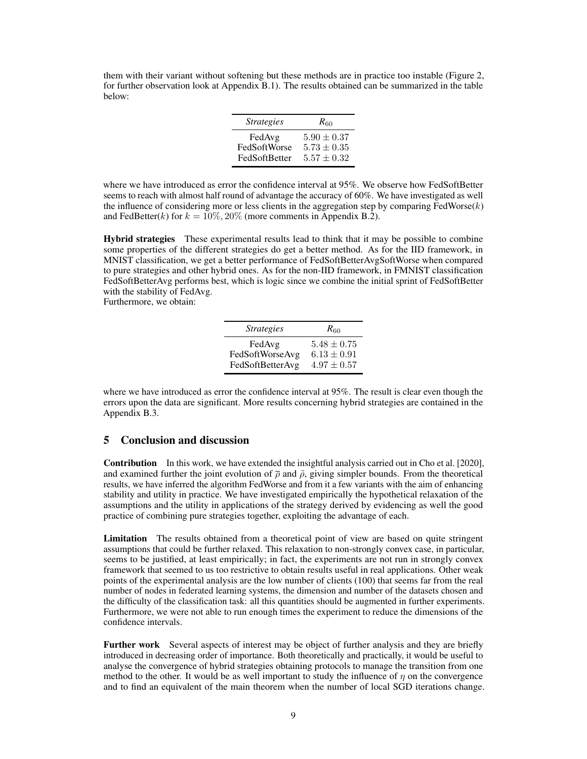them with their variant without softening but these methods are in practice too instable (Figure [2,](#page-15-0) for further observation look at Appendix [B.1\)](#page-15-1). The results obtained can be summarized in the table below:

| <b>Strategies</b> | $R_{60}$        |
|-------------------|-----------------|
| FedAvg            | $5.90 \pm 0.37$ |
| FedSoftWorse      | $5.73 \pm 0.35$ |
| FedSoftBetter     | $5.57 \pm 0.32$ |

where we have introduced as error the confidence interval at 95%. We observe how FedSoftBetter seems to reach with almost half round of advantage the accuracy of 60%. We have investigated as well the influence of considering more or less clients in the aggregation step by comparing  $FedWorse(k)$ and FedBetter(k) for  $k = 10\%, 20\%$  (more comments in Appendix [B.2\)](#page-16-0).

Hybrid strategies These experimental results lead to think that it may be possible to combine some properties of the different strategies do get a better method. As for the IID framework, in MNIST classification, we get a better performance of FedSoftBetterAvgSoftWorse when compared to pure strategies and other hybrid ones. As for the non-IID framework, in FMNIST classification FedSoftBetterAvg performs best, which is logic since we combine the initial sprint of FedSoftBetter with the stability of FedAvg.

Furthermore, we obtain:

| <i><u><b>Strategies</b></u></i> | $R_{60}$        |
|---------------------------------|-----------------|
| FedAvg                          | $5.48 \pm 0.75$ |
| FedSoftWorseAvg                 | $6.13 \pm 0.91$ |
| FedSoftBetterAvg                | $4.97 \pm 0.57$ |

where we have introduced as error the confidence interval at 95%. The result is clear even though the errors upon the data are significant. More results concerning hybrid strategies are contained in the Appendix [B.3.](#page-16-1)

### 5 Conclusion and discussion

Contribution In this work, we have extended the insightful analysis carried out in [Cho et al.](#page-9-7) [\[2020\]](#page-9-7), and examined further the joint evolution of  $\bar{\rho}$  and  $\tilde{\rho}$ , giving simpler bounds. From the theoretical results, we have inferred the algorithm FedWorse and from it a few variants with the aim of enhancing stability and utility in practice. We have investigated empirically the hypothetical relaxation of the assumptions and the utility in applications of the strategy derived by evidencing as well the good practice of combining pure strategies together, exploiting the advantage of each.

Limitation The results obtained from a theoretical point of view are based on quite stringent assumptions that could be further relaxed. This relaxation to non-strongly convex case, in particular, seems to be justified, at least empirically; in fact, the experiments are not run in strongly convex framework that seemed to us too restrictive to obtain results useful in real applications. Other weak points of the experimental analysis are the low number of clients (100) that seems far from the real number of nodes in federated learning systems, the dimension and number of the datasets chosen and the difficulty of the classification task: all this quantities should be augmented in further experiments. Furthermore, we were not able to run enough times the experiment to reduce the dimensions of the confidence intervals.

Further work Several aspects of interest may be object of further analysis and they are briefly introduced in decreasing order of importance. Both theoretically and practically, it would be useful to analyse the convergence of hybrid strategies obtaining protocols to manage the transition from one method to the other. It would be as well important to study the influence of  $\eta$  on the convergence and to find an equivalent of the main theorem when the number of local SGD iterations change.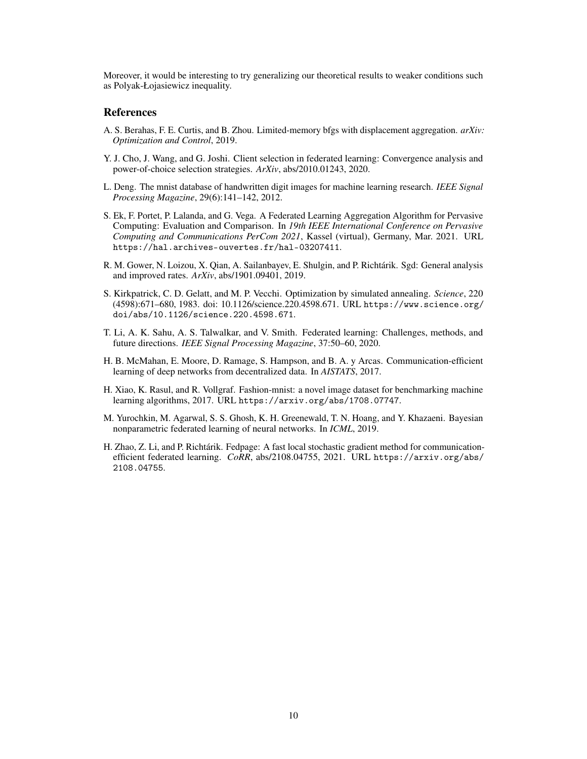Moreover, it would be interesting to try generalizing our theoretical results to weaker conditions such as Polyak-Łojasiewicz inequality.

# References

- <span id="page-9-3"></span>A. S. Berahas, F. E. Curtis, and B. Zhou. Limited-memory bfgs with displacement aggregation. *arXiv: Optimization and Control*, 2019.
- <span id="page-9-7"></span>Y. J. Cho, J. Wang, and G. Joshi. Client selection in federated learning: Convergence analysis and power-of-choice selection strategies. *ArXiv*, abs/2010.01243, 2020.
- <span id="page-9-9"></span>L. Deng. The mnist database of handwritten digit images for machine learning research. *IEEE Signal Processing Magazine*, 29(6):141–142, 2012.
- <span id="page-9-5"></span>S. Ek, F. Portet, P. Lalanda, and G. Vega. A Federated Learning Aggregation Algorithm for Pervasive Computing: Evaluation and Comparison. In *19th IEEE International Conference on Pervasive Computing and Communications PerCom 2021*, Kassel (virtual), Germany, Mar. 2021. URL <https://hal.archives-ouvertes.fr/hal-03207411>.
- <span id="page-9-2"></span>R. M. Gower, N. Loizou, X. Qian, A. Sailanbayev, E. Shulgin, and P. Richtárik. Sgd: General analysis and improved rates. *ArXiv*, abs/1901.09401, 2019.
- <span id="page-9-8"></span>S. Kirkpatrick, C. D. Gelatt, and M. P. Vecchi. Optimization by simulated annealing. *Science*, 220 (4598):671–680, 1983. doi: 10.1126/science.220.4598.671. URL [https://www.science.org/](https://www.science.org/doi/abs/10.1126/science.220.4598.671) [doi/abs/10.1126/science.220.4598.671](https://www.science.org/doi/abs/10.1126/science.220.4598.671).
- <span id="page-9-1"></span>T. Li, A. K. Sahu, A. S. Talwalkar, and V. Smith. Federated learning: Challenges, methods, and future directions. *IEEE Signal Processing Magazine*, 37:50–60, 2020.
- <span id="page-9-0"></span>H. B. McMahan, E. Moore, D. Ramage, S. Hampson, and B. A. y Arcas. Communication-efficient learning of deep networks from decentralized data. In *AISTATS*, 2017.
- <span id="page-9-10"></span>H. Xiao, K. Rasul, and R. Vollgraf. Fashion-mnist: a novel image dataset for benchmarking machine learning algorithms, 2017. URL <https://arxiv.org/abs/1708.07747>.
- <span id="page-9-6"></span>M. Yurochkin, M. Agarwal, S. S. Ghosh, K. H. Greenewald, T. N. Hoang, and Y. Khazaeni. Bayesian nonparametric federated learning of neural networks. In *ICML*, 2019.
- <span id="page-9-4"></span>H. Zhao, Z. Li, and P. Richtárik. Fedpage: A fast local stochastic gradient method for communicationefficient federated learning. *CoRR*, abs/2108.04755, 2021. URL [https://arxiv.org/abs/](https://arxiv.org/abs/2108.04755) [2108.04755](https://arxiv.org/abs/2108.04755).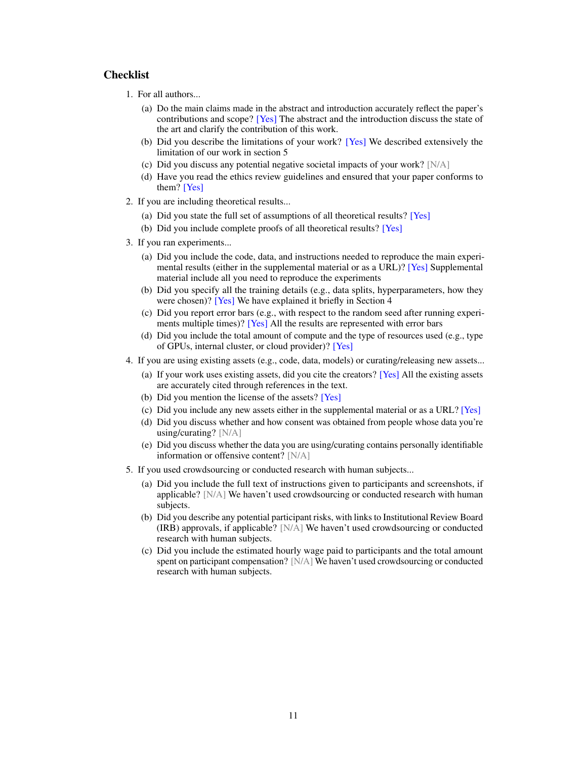# **Checklist**

- 1. For all authors...
	- (a) Do the main claims made in the abstract and introduction accurately reflect the paper's contributions and scope? [Yes] The abstract and the introduction discuss the state of the art and clarify the contribution of this work.
	- (b) Did you describe the limitations of your work? [Yes] We described extensively the limitation of our work in section 5
	- (c) Did you discuss any potential negative societal impacts of your work?  $[N/A]$
	- (d) Have you read the ethics review guidelines and ensured that your paper conforms to them? [Yes]
- 2. If you are including theoretical results...
	- (a) Did you state the full set of assumptions of all theoretical results? [Yes]
	- (b) Did you include complete proofs of all theoretical results? [Yes]
- 3. If you ran experiments...
	- (a) Did you include the code, data, and instructions needed to reproduce the main experimental results (either in the supplemental material or as a URL)? [Yes] Supplemental material include all you need to reproduce the experiments
	- (b) Did you specify all the training details (e.g., data splits, hyperparameters, how they were chosen)? [Yes] We have explained it briefly in Section 4
	- (c) Did you report error bars (e.g., with respect to the random seed after running experiments multiple times)? [Yes] All the results are represented with error bars
	- (d) Did you include the total amount of compute and the type of resources used (e.g., type of GPUs, internal cluster, or cloud provider)? [Yes]
- 4. If you are using existing assets (e.g., code, data, models) or curating/releasing new assets...
	- (a) If your work uses existing assets, did you cite the creators? [Yes] All the existing assets are accurately cited through references in the text.
	- (b) Did you mention the license of the assets? [Yes]
	- (c) Did you include any new assets either in the supplemental material or as a URL? [Yes]
	- (d) Did you discuss whether and how consent was obtained from people whose data you're using/curating? [N/A]
	- (e) Did you discuss whether the data you are using/curating contains personally identifiable information or offensive content? [N/A]
- 5. If you used crowdsourcing or conducted research with human subjects...
	- (a) Did you include the full text of instructions given to participants and screenshots, if applicable? [N/A] We haven't used crowdsourcing or conducted research with human subjects.
	- (b) Did you describe any potential participant risks, with links to Institutional Review Board (IRB) approvals, if applicable? [N/A] We haven't used crowdsourcing or conducted research with human subjects.
	- (c) Did you include the estimated hourly wage paid to participants and the total amount spent on participant compensation? [N/A] We haven't used crowdsourcing or conducted research with human subjects.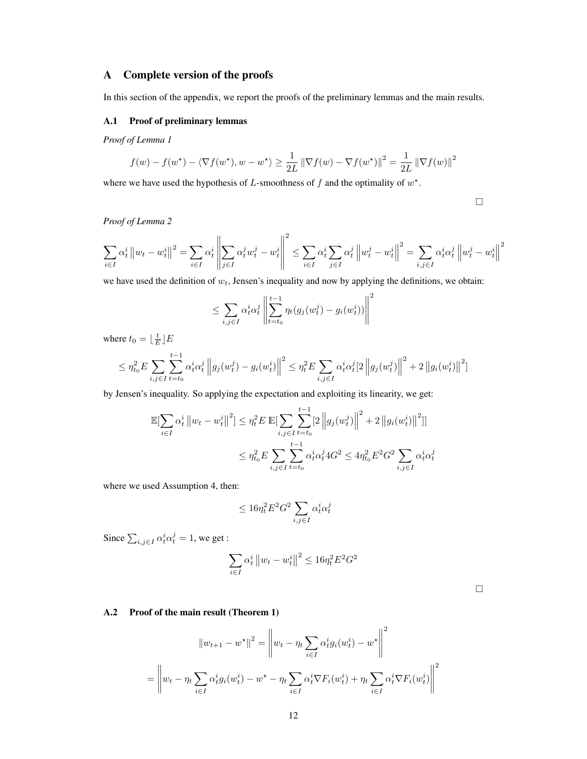# A Complete version of the proofs

In this section of the appendix, we report the proofs of the preliminary lemmas and the main results.

## <span id="page-11-0"></span>A.1 Proof of preliminary lemmas

*Proof of Lemma [1](#page-2-4)*

$$
f(w) - f(w^*) - \langle \nabla f(w^*), w - w^* \rangle \ge \frac{1}{2L} \left\| \nabla f(w) - \nabla f(w^*) \right\|^2 = \frac{1}{2L} \left\| \nabla f(w) \right\|^2
$$

where we have used the hypothesis of  $L$ -smoothness of  $f$  and the optimality of  $w^*$ .

 $\Box$ 

*Proof of Lemma [2](#page-2-5)*

$$
\sum_{i\in I}\alpha_t^i\left\|w_t-w_t^i\right\|^2=\sum_{i\in I}\alpha_t^i\left\|\sum_{j\in I}\alpha_t^jw_t^j-w_t^i\right\|^2\leq\sum_{i\in I}\alpha_t^i\sum_{j\in I}\alpha_t^j\left\|w_t^j-w_t^i\right\|^2=\sum_{i,j\in I}\alpha_t^i\alpha_t^j\left\|w_t^j-w_t^i\right\|^2
$$

we have used the definition of  $w_t$ , Jensen's inequality and now by applying the definitions, we obtain:

$$
\leq \sum_{i,j\in I} \alpha_t^i\alpha_t^j\left\|\sum_{t=t_0}^{t-1}\eta_t(g_j(w_t^j)-g_i(w_t^i))\right\|^2
$$

where  $t_0 = \lfloor \frac{t}{E} \rfloor E$ 

$$
\leq \eta_{t_0}^2 E \sum_{i,j \in I} \sum_{t=t_0}^{t-1} \alpha_t^i \alpha_t^j \left\| g_j(w_t^j) - g_i(w_t^i) \right\|^2 \leq \eta_t^2 E \sum_{i,j \in I} \alpha_t^i \alpha_t^j \left[ 2 \left\| g_j(w_t^j) \right\|^2 + 2 \left\| g_i(w_t^i) \right\|^2 \right]
$$

by Jensen's inequality. So applying the expectation and exploiting its linearity, we get:

$$
\mathbb{E}[\sum_{i \in I} \alpha_t^i ||w_t - w_t^i||^2] \leq \eta_t^2 E \mathbb{E}[\sum_{i,j \in I} \sum_{t=t_0}^{t-1} [2 ||g_j(w_t^j)||^2 + 2 ||g_i(w_t^i)||^2]]
$$
  

$$
\leq \eta_{t_0}^2 E \sum_{i,j \in I} \sum_{t=t_0}^{t-1} \alpha_t^i \alpha_t^j 4G^2 \leq 4\eta_{t_0}^2 E^2 G^2 \sum_{i,j \in I} \alpha_t^i \alpha_t^j
$$

where we used Assumption [4,](#page-2-2) then:

$$
\leq 16\eta_t^2 E^2 G^2 \sum_{i,j\in I} \alpha_t^i \alpha_t^j
$$

Since  $\sum_{i,j\in I} \alpha_t^i \alpha_t^j = 1$ , we get :

$$
\sum_{i \in I} \alpha_t^i \left\| w_t - w_t^i \right\|^2 \le 16 \eta_t^2 E^2 G^2
$$

# A.2 Proof of the main result (Theorem [1\)](#page-3-0)

$$
||w_{t+1} - w^*||^2 = \left||w_t - \eta_t \sum_{i \in I} \alpha_t^i g_i(w_t^i) - w^* \right||^2
$$
  
= 
$$
\left||w_t - \eta_t \sum_{i \in I} \alpha_t^i g_i(w_t^i) - w^* - \eta_t \sum_{i \in I} \alpha_t^i \nabla F_i(w_t^i) + \eta_t \sum_{i \in I} \alpha_t^i \nabla F_i(w_t^i) \right||^2
$$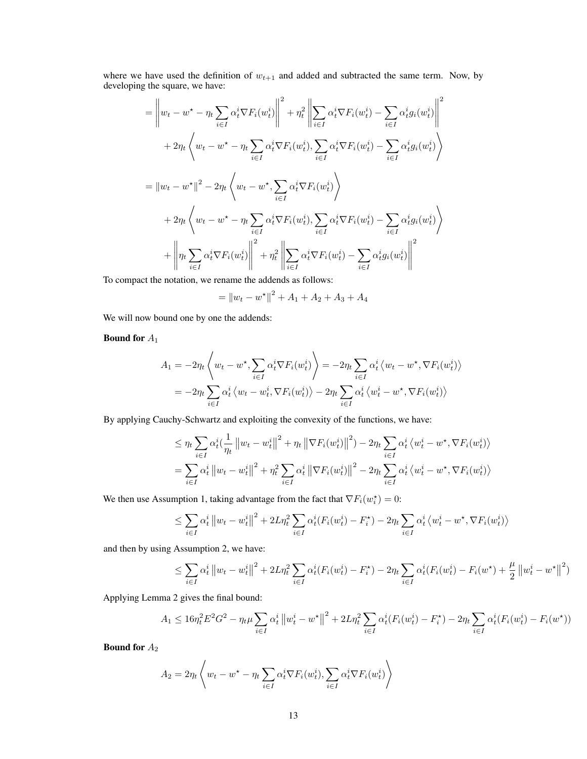where we have used the definition of  $w_{t+1}$  and added and subtracted the same term. Now, by developing the square, we have:

$$
= \left\| w_t - w^* - \eta_t \sum_{i \in I} \alpha_t^i \nabla F_i(w_t^i) \right\|^2 + \eta_t^2 \left\| \sum_{i \in I} \alpha_t^i \nabla F_i(w_t^i) - \sum_{i \in I} \alpha_t^i g_i(w_t^i) \right\|^2
$$
  
+ 
$$
2\eta_t \left\langle w_t - w^* - \eta_t \sum_{i \in I} \alpha_t^i \nabla F_i(w_t^i), \sum_{i \in I} \alpha_t^i \nabla F_i(w_t^i) - \sum_{i \in I} \alpha_t^i g_i(w_t^i) \right\rangle
$$
  
= 
$$
\|w_t - w^*\|^2 - 2\eta_t \left\langle w_t - w^*, \sum_{i \in I} \alpha_t^i \nabla F_i(w_t^i) \right\rangle
$$
  
+ 
$$
2\eta_t \left\langle w_t - w^* - \eta_t \sum_{i \in I} \alpha_t^i \nabla F_i(w_t^i), \sum_{i \in I} \alpha_t^i \nabla F_i(w_t^i) - \sum_{i \in I} \alpha_t^i g_i(w_t^i) \right\rangle
$$
  
+ 
$$
\left\| \eta_t \sum_{i \in I} \alpha_t^i \nabla F_i(w_t^i) \right\|^2 + \eta_t^2 \left\| \sum_{i \in I} \alpha_t^i \nabla F_i(w_t^i) - \sum_{i \in I} \alpha_t^i g_i(w_t^i) \right\|^2
$$

To compact the notation, we rename the addends as follows:

$$
= \|w_t - w^*\|^2 + A_1 + A_2 + A_3 + A_4
$$

We will now bound one by one the addends:

# Bound for  $A_1$

$$
A_1 = -2\eta_t \left\langle w_t - w^{\star}, \sum_{i \in I} \alpha_t^i \nabla F_i(w_t^i) \right\rangle = -2\eta_t \sum_{i \in I} \alpha_t^i \left\langle w_t - w^{\star}, \nabla F_i(w_t^i) \right\rangle
$$
  
= 
$$
-2\eta_t \sum_{i \in I} \alpha_t^i \left\langle w_t - w_t^i, \nabla F_i(w_t^i) \right\rangle - 2\eta_t \sum_{i \in I} \alpha_t^i \left\langle w_t^i - w^{\star}, \nabla F_i(w_t^i) \right\rangle
$$

By applying Cauchy-Schwartz and exploiting the convexity of the functions, we have:

$$
\leq \eta_t \sum_{i \in I} \alpha_t^i \left( \frac{1}{\eta_t} \left\| w_t - w_t^i \right\|^2 + \eta_t \left\| \nabla F_i(w_t^i) \right\|^2 \right) - 2\eta_t \sum_{i \in I} \alpha_t^i \left\langle w_t^i - w^{\star}, \nabla F_i(w_t^i) \right\rangle
$$
  
= 
$$
\sum_{i \in I} \alpha_t^i \left\| w_t - w_t^i \right\|^2 + \eta_t^2 \sum_{i \in I} \alpha_t^i \left\| \nabla F_i(w_t^i) \right\|^2 - 2\eta_t \sum_{i \in I} \alpha_t^i \left\langle w_t^i - w^{\star}, \nabla F_i(w_t^i) \right\rangle
$$

We then use Assumption [1,](#page-2-6) taking advantage from the fact that  $\nabla F_i(w_i^*) = 0$ :

$$
\leq \sum_{i \in I} \alpha_t^i \left\| w_t - w_t^i \right\|^2 + 2L\eta_t^2 \sum_{i \in I} \alpha_t^i (F_i(w_t^i) - F_i^*) - 2\eta_t \sum_{i \in I} \alpha_t^i \left\langle w_t^i - w^*, \nabla F_i(w_t^i) \right\rangle
$$

and then by using Assumption [2,](#page-2-7) we have:

$$
\leq \sum_{i \in I} \alpha_t^i \left\| w_t - w_t^i \right\|^2 + 2L\eta_t^2 \sum_{i \in I} \alpha_t^i (F_i(w_t^i) - F_i^*) - 2\eta_t \sum_{i \in I} \alpha_t^i (F_i(w_t^i) - F_i(w^*) + \frac{\mu}{2} \left\| w_t^i - w^* \right\|^2)
$$

Applying Lemma [2](#page-2-5) gives the final bound:

$$
A_1 \le 16\eta_t^2 E^2 G^2 - \eta_t \mu \sum_{i \in I} \alpha_t^i \left\| w_t^i - w^\star \right\|^2 + 2L\eta_t^2 \sum_{i \in I} \alpha_t^i (F_i(w_t^i) - F_i^\star) - 2\eta_t \sum_{i \in I} \alpha_t^i (F_i(w_t^i) - F_i(w^\star))
$$

Bound for  $A_2$ 

$$
A_2 = 2\eta_t \left\langle w_t - w^\star - \eta_t \sum_{i \in I} \alpha_t^i \nabla F_i(w_t^i), \sum_{i \in I} \alpha_t^i \nabla F_i(w_t^i) \right\rangle
$$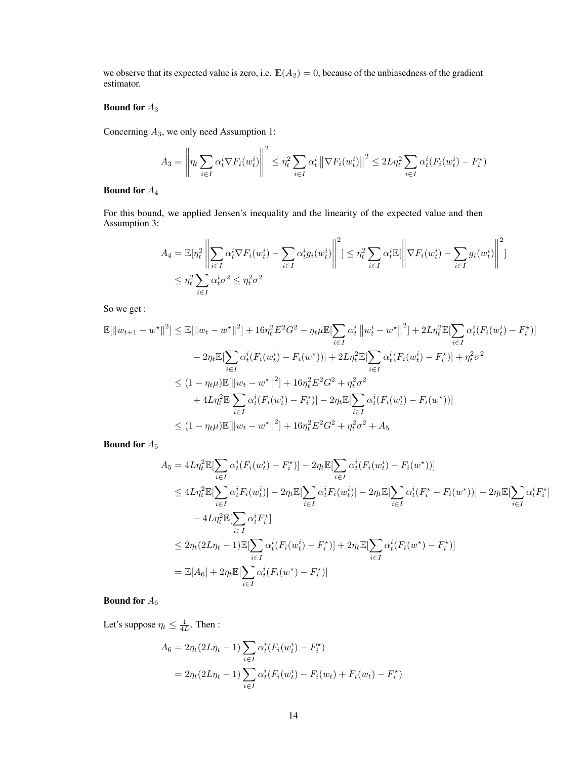we observe that its expected value is zero, i.e.  $\mathbb{E}(A_2) = 0$ , because of the unbiasedness of the gradient estimator.

# Bound for  $A_3$

Concerning  $A_3$ , we only need Assumption [1:](#page-2-6)

$$
A_3 = \left\|\eta_t \sum_{i \in I} \alpha_t^i \nabla F_i(w_t^i)\right\|^2 \leq \eta_t^2 \sum_{i \in I} \alpha_t^i \left\|\nabla F_i(w_t^i)\right\|^2 \leq 2L\eta_t^2 \sum_{i \in I} \alpha_t^i (F_i(w_t^i) - F_i^*)
$$

# Bound for  $A_4$

For this bound, we applied Jensen's inequality and the linearity of the expected value and then Assumption [3:](#page-2-1)

$$
A_4 = \mathbb{E}[\eta_t^2 \left\| \sum_{i \in I} \alpha_t^i \nabla F_i(w_t^i) - \sum_{i \in I} \alpha_t^i g_i(w_t^i) \right\|^2] \leq \eta_t^2 \sum_{i \in I} \alpha_t^i \mathbb{E}[\left\| \nabla F_i(w_t^i) - \sum_{i \in I} g_i(w_t^i) \right\|^2]
$$
  

$$
\leq \eta_t^2 \sum_{i \in I} \alpha_t^i \sigma^2 \leq \eta_t^2 \sigma^2
$$

So we get :

$$
\mathbb{E}[\|w_{t+1} - w^{\star}\|^{2}] \leq \mathbb{E}[\|w_{t} - w^{\star}\|^{2}] + 16\eta_{t}^{2} E^{2} G^{2} - \eta_{t} \mu \mathbb{E}[\sum_{i\in I} \alpha_{t}^{i} \|w_{t}^{i} - w^{\star}\|^{2}] + 2L\eta_{t}^{2} \mathbb{E}[\sum_{i\in I} \alpha_{t}^{i} (F_{i}(w_{t}^{i}) - F_{i}^{\star})]
$$
  
\n
$$
-2\eta_{t} \mathbb{E}[\sum_{i\in I} \alpha_{t}^{i} (F_{i}(w_{t}^{i}) - F_{i}(w^{\star}))] + 2L\eta_{t}^{2} \mathbb{E}[\sum_{i\in I} \alpha_{t}^{i} (F_{i}(w_{t}^{i}) - F_{i}^{\star})] + \eta_{t}^{2} \sigma^{2}
$$
  
\n
$$
\leq (1 - \eta_{t}\mu) \mathbb{E}[\|w_{t} - w^{\star}\|^{2}] + 16\eta_{t}^{2} E^{2} G^{2} + \eta_{t}^{2} \sigma^{2}
$$
  
\n
$$
+ 4L\eta_{t}^{2} \mathbb{E}[\sum_{i\in I} \alpha_{t}^{i} (F_{i}(w_{t}^{i}) - F_{i}^{\star})] - 2\eta_{t} \mathbb{E}[\sum_{i\in I} \alpha_{t}^{i} (F_{i}(w_{t}^{i}) - F_{i}(w^{\star}))]
$$
  
\n
$$
\leq (1 - \eta_{t}\mu) \mathbb{E}[\|w_{t} - w^{\star}\|^{2}] + 16\eta_{t}^{2} E^{2} G^{2} + \eta_{t}^{2} \sigma^{2} + A_{5}
$$

Bound for  $A_5$ 

$$
A_5 = 4L\eta_t^2 \mathbb{E}[\sum_{i \in I} \alpha_t^i (F_i(w_t^i) - F_i^*)] - 2\eta_t \mathbb{E}[\sum_{i \in I} \alpha_t^i (F_i(w_t^i) - F_i(w^*))]
$$
  
\n
$$
\leq 4L\eta_t^2 \mathbb{E}[\sum_{i \in I} \alpha_t^i F_i(w_t^i)] - 2\eta_t \mathbb{E}[\sum_{i \in I} \alpha_t^i F_i(w_t^i)] - 2\eta_t \mathbb{E}[\sum_{i \in I} \alpha_t^i (F_i^* - F_i(w^*))] + 2\eta_t \mathbb{E}[\sum_{i \in I} \alpha_t^i F_i^*]
$$
  
\n
$$
- 4L\eta_t^2 \mathbb{E}[\sum_{i \in I} \alpha_t^i F_i^*]
$$
  
\n
$$
\leq 2\eta_t (2L\eta_t - 1) \mathbb{E}[\sum_{i \in I} \alpha_t^i (F_i(w_t^i) - F_i^*)] + 2\eta_t \mathbb{E}[\sum_{i \in I} \alpha_t^i (F_i(w^*) - F_i^*)]
$$
  
\n
$$
= \mathbb{E}[A_6] + 2\eta_t \mathbb{E}[\sum_{i \in I} \alpha_t^i (F_i(w^*) - F_i^*)]
$$

# Bound for  $A_6$

Let's suppose  $\eta_t \leq \frac{1}{4L}$ . Then :

$$
A_6 = 2\eta_t (2L\eta_t - 1) \sum_{i \in I} \alpha_t^i (F_i(w_t^i) - F_i^*)
$$
  
=  $2\eta_t (2L\eta_t - 1) \sum_{i \in I} \alpha_t^i (F_i(w_t^i) - F_i(w_t) + F_i(w_t) - F_i^*)$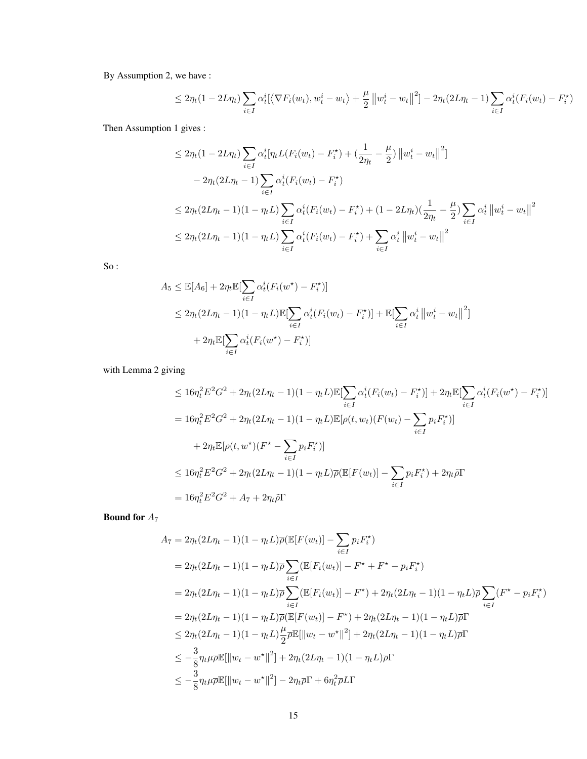By Assumption [2,](#page-2-7) we have :

$$
\leq 2\eta_t(1 - 2L\eta_t)\sum_{i \in I} \alpha_t^i [\langle \nabla F_i(w_t), w_t^i - w_t \rangle + \frac{\mu}{2} ||w_t^i - w_t||^2] - 2\eta_t(2L\eta_t - 1)\sum_{i \in I} \alpha_t^i (F_i(w_t) - F_i^*)
$$

Then Assumption [1](#page-2-6) gives :

$$
\leq 2\eta_t (1 - 2L\eta_t) \sum_{i \in I} \alpha_t^i [\eta_t L(F_i(w_t) - F_i^*) + (\frac{1}{2\eta_t} - \frac{\mu}{2}) ||w_t^i - w_t||^2]
$$
  

$$
- 2\eta_t (2L\eta_t - 1) \sum_{i \in I} \alpha_t^i (F_i(w_t) - F_i^*)
$$
  

$$
\leq 2\eta_t (2L\eta_t - 1)(1 - \eta_t L) \sum_{i \in I} \alpha_t^i (F_i(w_t) - F_i^*) + (1 - 2L\eta_t)(\frac{1}{2\eta_t} - \frac{\mu}{2}) \sum_{i \in I} \alpha_t^i ||w_t^i - w_t||^2
$$
  

$$
\leq 2\eta_t (2L\eta_t - 1)(1 - \eta_t L) \sum_{i \in I} \alpha_t^i (F_i(w_t) - F_i^*) + \sum_{i \in I} \alpha_t^i ||w_t^i - w_t||^2
$$

So :

$$
A_5 \leq \mathbb{E}[A_6] + 2\eta_t \mathbb{E}[\sum_{i \in I} \alpha_t^i (F_i(w^\star) - F_i^\star)]
$$
  
\n
$$
\leq 2\eta_t (2L\eta_t - 1)(1 - \eta_t L) \mathbb{E}[\sum_{i \in I} \alpha_t^i (F_i(w_t) - F_i^\star)] + \mathbb{E}[\sum_{i \in I} \alpha_t^i ||w_t^i - w_t||^2]
$$
  
\n
$$
+ 2\eta_t \mathbb{E}[\sum_{i \in I} \alpha_t^i (F_i(w^\star) - F_i^\star)]
$$

with Lemma [2](#page-2-5) giving

$$
\leq 16\eta_t^2 E^2 G^2 + 2\eta_t (2L\eta_t - 1)(1 - \eta_t L)\mathbb{E}[\sum_{i \in I} \alpha_t^i (F_i(w_t) - F_i^*)] + 2\eta_t \mathbb{E}[\sum_{i \in I} \alpha_t^i (F_i(w^*) - F_i^*)]
$$
  
\n
$$
= 16\eta_t^2 E^2 G^2 + 2\eta_t (2L\eta_t - 1)(1 - \eta_t L)\mathbb{E}[\rho(t, w_t)(F(w_t) - \sum_{i \in I} p_i F_i^*)]
$$
  
\n
$$
+ 2\eta_t \mathbb{E}[\rho(t, w^*)(F^* - \sum_{i \in I} p_i F_i^*)]
$$
  
\n
$$
\leq 16\eta_t^2 E^2 G^2 + 2\eta_t (2L\eta_t - 1)(1 - \eta_t L)\overline{\rho}(\mathbb{E}[F(w_t)] - \sum_{i \in I} p_i F_i^*) + 2\eta_t \tilde{\rho}\Gamma
$$
  
\n
$$
= 16\eta_t^2 E^2 G^2 + A_7 + 2\eta_t \tilde{\rho}\Gamma
$$

Bound for  $A_7$ 

$$
A_7 = 2\eta_t (2L\eta_t - 1)(1 - \eta_t L)\overline{\rho}(\mathbb{E}[F(w_t)] - \sum_{i \in I} p_i F_i^*)
$$
  
\n
$$
= 2\eta_t (2L\eta_t - 1)(1 - \eta_t L)\overline{\rho} \sum_{i \in I} (\mathbb{E}[F_i(w_t)] - F^* + F^* - p_i F_i^*)
$$
  
\n
$$
= 2\eta_t (2L\eta_t - 1)(1 - \eta_t L)\overline{\rho} \sum_{i \in I} (\mathbb{E}[F_i(w_t)] - F^*) + 2\eta_t (2L\eta_t - 1)(1 - \eta_t L)\overline{\rho} \sum_{i \in I} (F^* - p_i F_i^*)
$$
  
\n
$$
= 2\eta_t (2L\eta_t - 1)(1 - \eta_t L)\overline{\rho}(\mathbb{E}[F(w_t)] - F^*) + 2\eta_t (2L\eta_t - 1)(1 - \eta_t L)\overline{\rho}\Gamma
$$
  
\n
$$
\leq 2\eta_t (2L\eta_t - 1)(1 - \eta_t L)\frac{\mu}{2}\overline{\rho}\mathbb{E}[\|w_t - w^*\|^2] + 2\eta_t (2L\eta_t - 1)(1 - \eta_t L)\overline{\rho}\Gamma
$$
  
\n
$$
\leq -\frac{3}{8}\eta_t \mu \overline{\rho}\mathbb{E}[\|w_t - w^*\|^2] + 2\eta_t (2L\eta_t - 1)(1 - \eta_t L)\overline{\rho}\Gamma
$$
  
\n
$$
\leq -\frac{3}{8}\eta_t \mu \overline{\rho}\mathbb{E}[\|w_t - w^*\|^2] - 2\eta_t \overline{\rho}\Gamma + 6\eta_t^2 \overline{\rho}L\Gamma
$$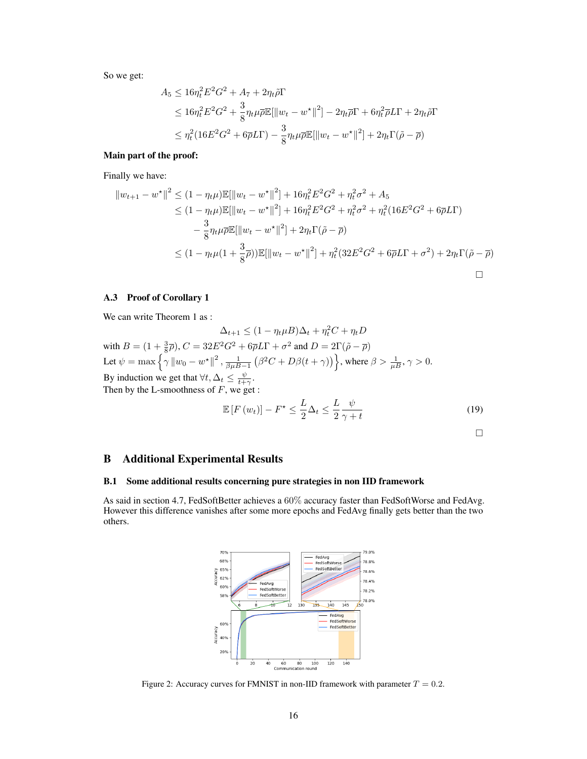So we get:

$$
A_5 \le 16\eta_t^2 E^2 G^2 + A_7 + 2\eta_t \tilde{\rho} \Gamma
$$
  
\n
$$
\le 16\eta_t^2 E^2 G^2 + \frac{3}{8} \eta_t \mu \overline{\rho} \mathbb{E}[\|w_t - w^\star\|^2] - 2\eta_t \overline{\rho} \Gamma + 6\eta_t^2 \overline{\rho} L \Gamma + 2\eta_t \tilde{\rho} \Gamma
$$
  
\n
$$
\le \eta_t^2 (16E^2 G^2 + 6\overline{\rho} L \Gamma) - \frac{3}{8} \eta_t \mu \overline{\rho} \mathbb{E}[\|w_t - w^\star\|^2] + 2\eta_t \Gamma(\tilde{\rho} - \overline{\rho})
$$

## Main part of the proof:

Finally we have:

$$
||w_{t+1} - w^*||^2 \le (1 - \eta_t \mu) \mathbb{E}[\|w_t - w^*\|^2] + 16\eta_t^2 E^2 G^2 + \eta_t^2 \sigma^2 + A_5
$$
  
\n
$$
\le (1 - \eta_t \mu) \mathbb{E}[\|w_t - w^*\|^2] + 16\eta_t^2 E^2 G^2 + \eta_t^2 \sigma^2 + \eta_t^2 (16E^2 G^2 + 6\overline{\rho} L\Gamma)
$$
  
\n
$$
- \frac{3}{8} \eta_t \mu \overline{\rho} \mathbb{E}[\|w_t - w^*\|^2] + 2\eta_t \Gamma(\tilde{\rho} - \overline{\rho})
$$
  
\n
$$
\le (1 - \eta_t \mu (1 + \frac{3}{8}\overline{\rho})) \mathbb{E}[\|w_t - w^*\|^2] + \eta_t^2 (32E^2 G^2 + 6\overline{\rho} L\Gamma + \sigma^2) + 2\eta_t \Gamma(\tilde{\rho} - \overline{\rho})
$$

 $\overline{2}$ 

# A.3 Proof of Corollary [1](#page-3-1)

We can write Theorem [1](#page-3-0) as :

$$
\Delta_{t+1} \le (1 - \eta_t \mu) \Delta_t + \eta_t^2 C + \eta_t D
$$
  
with  $B = (1 + \frac{3}{8}\overline{\rho}), C = 32E^2G^2 + 6\overline{\rho}L\Gamma + \sigma^2$  and  $D = 2\Gamma(\tilde{\rho} - \overline{\rho})$   
Let  $\psi = \max \left\{ \gamma ||w_0 - w^*||^2, \frac{1}{\beta \mu B - 1} \left( \beta^2 C + D\beta(t + \gamma) \right) \right\}$ , where  $\beta > \frac{1}{\mu B}, \gamma > 0$ .  
By induction we get that  $\forall t, \Delta_t \le \frac{\psi}{t + \gamma}$ .  
Then by the L-smoothness of F, we get :  

$$
\mathbb{E}[\Gamma(\psi)] = \Gamma^{\star} \le \frac{L}{\mu} \left( \frac{\partial \psi}{\partial t} \right)^2 \mathbb{E}[\frac{\partial \psi}{\partial t} \mathbb{E}[\frac{\partial \psi}{\partial t}] \mathbb{E}[\frac{\partial \psi}{\partial t}] \mathbb{E}[\frac{\partial \psi}{\partial t}] \mathbb{E}[\frac{\partial \psi}{\partial t}]
$$

$$
\mathbb{E}\left[F\left(w_{t}\right)\right]-F^{\star}\leq\frac{L}{2}\Delta_{t}\leq\frac{L}{2}\frac{\psi}{\gamma+t}\tag{19}
$$

 $\Box$ 

# B Additional Experimental Results

## <span id="page-15-1"></span>B.1 Some additional results concerning pure strategies in non IID framework

<span id="page-15-0"></span>As said in section [4.7,](#page-7-0) FedSoftBetter achieves a 60% accuracy faster than FedSoftWorse and FedAvg. However this difference vanishes after some more epochs and FedAvg finally gets better than the two others.



Figure 2: Accuracy curves for FMNIST in non-IID framework with parameter  $T = 0.2$ .